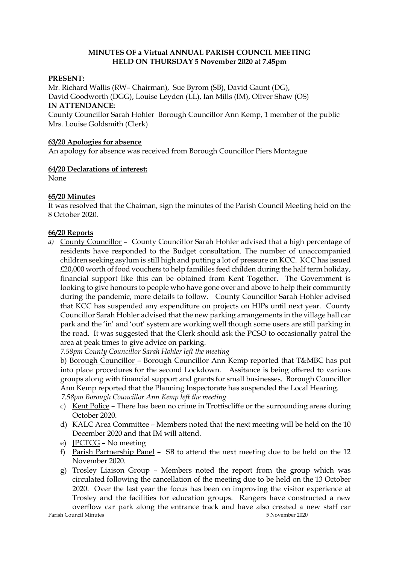# **MINUTES OF a Virtual ANNUAL PARISH COUNCIL MEETING HELD ON THURSDAY 5 November 2020 at 7.45pm**

## **PRESENT:**

Mr. Richard Wallis (RW– Chairman), Sue Byrom (SB), David Gaunt (DG), David Goodworth (DGG), Louise Leyden (LL), Ian Mills (IM), Oliver Shaw (OS) **IN ATTENDANCE:** 

County Councillor Sarah Hohler Borough Councillor Ann Kemp, 1 member of the public Mrs. Louise Goldsmith (Clerk)

## **63/20 Apologies for absence**

An apology for absence was received from Borough Councillor Piers Montague

## **64/20 Declarations of interest:**

None

## **65/20 Minutes**

It was resolved that the Chaiman, sign the minutes of the Parish Council Meeting held on the 8 October 2020.

## **66/20 Reports**

*a)* County Councillor – County Councillor Sarah Hohler advised that a high percentage of residents have responded to the Budget consultation. The number of unaccompanied children seeking asylum is still high and putting a lot of pressure on KCC. KCC has issued £20,000 worth of food vouchers to help famililes feed childen during the half term holiday, financial support like this can be obtained from Kent Together. The Government is looking to give honours to people who have gone over and above to help their community during the pandemic, more details to follow. County Councillor Sarah Hohler advised that KCC has suspended any expenditure on projects on HIPs until next year. County Councillor Sarah Hohler advised that the new parking arrangements in the village hall car park and the 'in' and 'out' system are working well though some users are still parking in the road. It was suggested that the Clerk should ask the PCSO to occasionally patrol the area at peak times to give advice on parking.

*7.58pm County Councillor Sarah Hohler left the meeting*

b) Borough Councillor – Borough Councillor Ann Kemp reported that T&MBC has put into place procedures for the second Lockdown. Assitance is being offered to various groups along with financial support and grants for small businesses. Borough Councillor Ann Kemp reported that the Planning Inspectorate has suspended the Local Hearing.  *7.58pm Borough Councillor Ann Kemp left the meeting*

- c) Kent Police There has been no crime in Trottiscliffe or the surrounding areas during October 2020.
- d) KALC Area Committee Members noted that the next meeting will be held on the 10 December 2020 and that IM will attend.
- e) JPCTCG No meeting
- f) Parish Partnership Panel SB to attend the next meeting due to be held on the 12 November 2020.
- g) Trosley Liaison Group Members noted the report from the group which was circulated following the cancellation of the meeting due to be held on the 13 October 2020. Over the last year the focus has been on improving the visitor experience at Trosley and the facilities for education groups. Rangers have constructed a new overflow car park along the entrance track and have also created a new staff car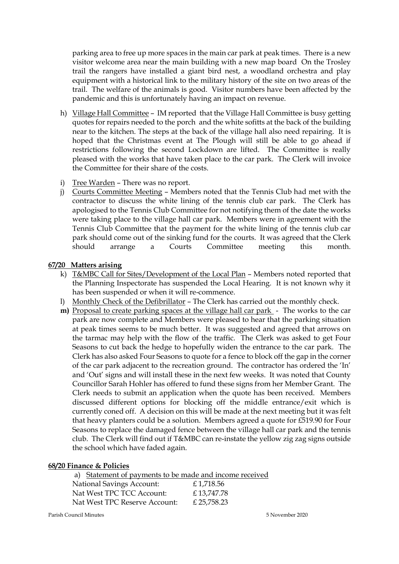parking area to free up more spaces in the main car park at peak times. There is a new visitor welcome area near the main building with a new map board On the Trosley trail the rangers have installed a giant bird nest, a woodland orchestra and play equipment with a historical link to the military history of the site on two areas of the trail. The welfare of the animals is good. Visitor numbers have been affected by the pandemic and this is unfortunately having an impact on revenue.

- h) Village Hall Committee IM reported that the Village Hall Committee is busy getting quotes for repairs needed to the porch and the white sofitts at the back of the building near to the kitchen. The steps at the back of the village hall also need repairing. It is hoped that the Christmas event at The Plough will still be able to go ahead if restrictions following the second Lockdown are lifted. The Committee is really pleased with the works that have taken place to the car park. The Clerk will invoice the Committee for their share of the costs.
- i) Tree Warden There was no report.
- j) Courts Committee Meeting Members noted that the Tennis Club had met with the contractor to discuss the white lining of the tennis club car park. The Clerk has apologised to the Tennis Club Committee for not notifying them of the date the works were taking place to the village hall car park. Members were in agreement with the Tennis Club Committee that the payment for the white lining of the tennis club car park should come out of the sinking fund for the courts. It was agreed that the Clerk should arrange a Courts Committee meeting this month.

## **67/20 Matters arising**

- k) T&MBC Call for Sites/Development of the Local Plan Members noted reported that the Planning Inspectorate has suspended the Local Hearing. It is not known why it has been suspended or when it will re-commence.
- l) Monthly Check of the Defibrillator The Clerk has carried out the monthly check.
- **m)** Proposal to create parking spaces at the village hall car park The works to the car park are now complete and Members were pleased to hear that the parking situation at peak times seems to be much better. It was suggested and agreed that arrows on the tarmac may help with the flow of the traffic. The Clerk was asked to get Four Seasons to cut back the hedge to hopefully widen the entrance to the car park. The Clerk has also asked Four Seasons to quote for a fence to block off the gap in the corner of the car park adjacent to the recreation ground. The contractor has ordered the 'In' and 'Out' signs and will install these in the next few weeks. It was noted that County Councillor Sarah Hohler has offered to fund these signs from her Member Grant. The Clerk needs to submit an application when the quote has been received. Members discussed different options for blocking off the middle entrance/exit which is currently coned off. A decision on this will be made at the next meeting but it was felt that heavy planters could be a solution. Members agreed a quote for £519.90 for Four Seasons to replace the damaged fence between the village hall car park and the tennis club. The Clerk will find out if T&MBC can re-instate the yellow zig zag signs outside the school which have faded again.

#### **68/20 Finance & Policies**

| a) Statement of payments to be made and income received |            |
|---------------------------------------------------------|------------|
| National Savings Account:                               | £1,718.56  |
| Nat West TPC TCC Account:                               | £13,747.78 |
| Nat West TPC Reserve Account:                           | £25,758.23 |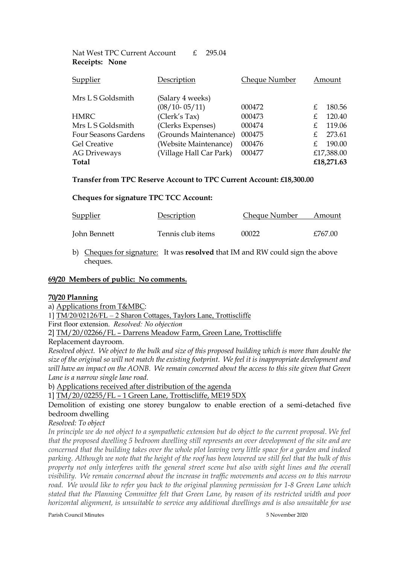| Supplier             | Description             | <b>Cheque Number</b> | Amount     |
|----------------------|-------------------------|----------------------|------------|
| Mrs L S Goldsmith    | (Salary 4 weeks)        |                      |            |
|                      | $(08/10 - 05/11)$       | 000472               | 180.56     |
| <b>HMRC</b>          | (Clerk's Tax)           | 000473               | 120.40     |
| Mrs L S Goldsmith    | (Clerks Expenses)       | 000474               | 119.06     |
| Four Seasons Gardens | (Grounds Maintenance)   | 000475               | 273.61     |
| <b>Gel Creative</b>  | (Website Maintenance)   | 000476               | 190.00     |
| <b>AG Driveways</b>  | (Village Hall Car Park) | 000477               | £17,388.00 |
| <b>Total</b>         |                         |                      | £18,271.63 |
|                      |                         |                      |            |

#### **Transfer from TPC Reserve Account to TPC Current Account: £18,300.00**

#### **Cheques for signature TPC TCC Account:**

Nat West TPC Current Account £ 295.04

 **Receipts: None**

| <b>Supplier</b> | Description       | Cheque Number | Amount  |
|-----------------|-------------------|---------------|---------|
| John Bennett    | Tennis club items | 00022         | £767.00 |

b) Cheques for signature: It was **resolved** that IM and RW could sign the above cheques.

# **69/20 Members of public: No comments.**

#### **70/20 Planning**

a) Applications from T&MBC:

1] TM/20/02126/FL – 2 Sharon Cottages, Taylors Lane, Trottiscliffe

First floor extension. *Resolved: No objection* 

2] TM/20/02266/FL – Darrens Meadow Farm, Green Lane, Trottiscliffe

Replacement dayroom.

*Resolved object. We object to the bulk and size of this proposed building which is more than double the size of the original so will not match the existing footprint. We feel it is inappropriate development and* will have an impact on the AONB. We remain concerned about the access to this site given that Green *Lane is a narrow single lane road.*

b) Applications received after distribution of the agenda

1] TM/20/02255/FL – 1 Green Lane, Trottiscliffe, ME19 5DX

Demolition of existing one storey bungalow to enable erection of a semi-detached five bedroom dwelling

*Resolved: To object*

*In principle we do not object to a sympathetic extension but do object to the current proposal. We feel that the proposed dwelling 5 bedroom dwelling still represents an over development of the site and are concerned that the building takes over the whole plot leaving very little space for a garden and indeed parking. Although we note that the height of the roof has been lowered we still feel that the bulk of this property not only interferes with the general street scene but also with sight lines and the overall visibility. We remain concerned about the increase in traffic movements and access on to this narrow road. We would like to refer you back to the original planning permission for 1-8 Green Lane which stated that the Planning Committee felt that Green Lane, by reason of its restricted width and poor horizontal alignment, is unsuitable to service any additional dwellings and is also unsuitable for use*

Parish Council Minutes 5 November 2020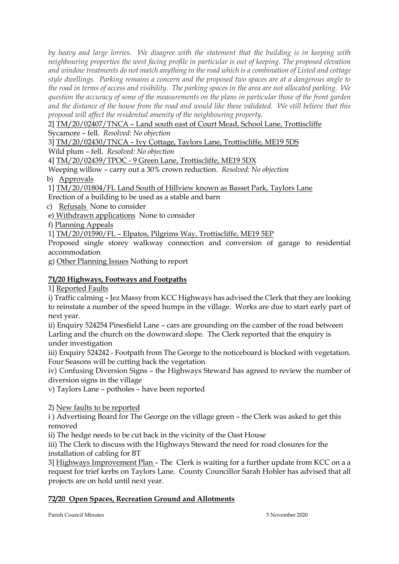*by heavy and large lorries. We disagree with the statement that the building is in keeping with neighbouring properties the west facing profile in particular is out of keeping. The proposed elevation and window treatments do not match anything in the road which is a combination of Listed and cottage style dwellings. Parking remains a concern and the proposed two spaces are at a dangerous angle to the road in terms of access and visibility. The parking spaces in the area are not allocated parking. We question the accuracy of some of the measurements on the plans in particular those of the front garden and the distance of the house from the road and would like these validated. We still believe that this proposal will affect the residential amenity of the neighbouring property.*

2] TM/20/02407/TNCA – Land south east of Court Mead, School Lane, Trottiscliffe

Sycamore – fell. *Resolved: No objection*

3] TM/20/02430/TNCA – Ivy Cottage, Taylors Lane, Trottiscliffe, ME19 5DS

Wild plum – fell. *Resolved: No objection*

4] TM/20/02439/TPOC - 9 Green Lane, Trottiscliffe, ME19 5DX

Weeping willow – carry out a 30% crown reduction. *Resolved: No objection*

b) Approvals

1] TM/20/01804/FL Land South of Hillview known as Basset Park, Taylors Lane

Erection of a building to be used as a stable and barn

c) Refusals None to consider

e) Withdrawn applications None to consider

f) Planning Appeals

1] TM/20/01590/FL – Elpatos, Pilgrims Way, Trottiscliffe, ME19 5EP

Proposed single storey walkway connection and conversion of garage to residential accommodation

g) Other Planning Issues Nothing to report

# **71/20 Highways, Footways and Footpaths**

1] Reported Faults

i) Traffic calming – Jez Massy from KCC Highways has advised the Clerk that they are looking to reinstate a number of the speed humps in the village. Works are due to start early part of next year.

ii) Enquiry 524254 Pinesfield Lane – cars are grounding on the camber of the road between Larling and the church on the downward slope. The Clerk reported that the enquiry is under investigation

iii) Enquiry 524242 - Footpath from The George to the noticeboard is blocked with vegetation. Four Seasons will be cutting back the vegetation

iv) Confusing Diversion Signs – the Highways Steward has agreed to review the number of diversion signs in the village

v) Taylors Lane – potholes – have been reported

2) New faults to be reported

i ) Advertising Board for The George on the village green – the Clerk was asked to get this removed

ii) The hedge needs to be cut back in the vicinity of the Oast House

iii) The Clerk to discuss with the Highways Steward the need for road closures for the installation of cabling for BT

3] Highways Improvement Plan – The Clerk is waiting for a further update from KCC on a a request for trief kerbs on Taylors Lane. County Councillor Sarah Hohler has advised that all projects are on hold until next year.

# **72/20 Open Spaces, Recreation Ground and Allotments**

Parish Council Minutes 5 November 2020